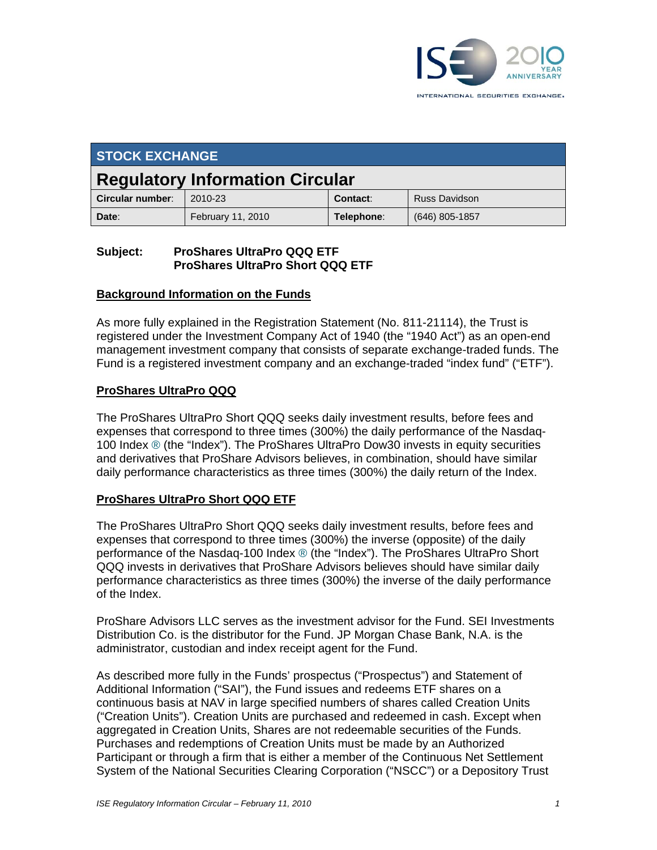

| <b>STOCK EXCHANGE</b>                  |                   |            |                      |
|----------------------------------------|-------------------|------------|----------------------|
| <b>Regulatory Information Circular</b> |                   |            |                      |
| Circular number:                       | 2010-23           | Contact:   | <b>Russ Davidson</b> |
| Date:                                  | February 11, 2010 | Telephone: | $(646)$ 805-1857     |

### **Subject: ProShares UltraPro QQQ ETF ProShares UltraPro Short QQQ ETF**

#### **Background Information on the Funds**

As more fully explained in the Registration Statement (No. 811-21114), the Trust is registered under the Investment Company Act of 1940 (the "1940 Act") as an open-end management investment company that consists of separate exchange-traded funds. The Fund is a registered investment company and an exchange-traded "index fund" ("ETF").

#### **ProShares UltraPro QQQ**

The ProShares UltraPro Short QQQ seeks daily investment results, before fees and expenses that correspond to three times (300%) the daily performance of the Nasdaq-100 Index ® (the "Index"). The ProShares UltraPro Dow30 invests in equity securities and derivatives that ProShare Advisors believes, in combination, should have similar daily performance characteristics as three times (300%) the daily return of the Index.

## **ProShares UltraPro Short QQQ ETF**

The ProShares UltraPro Short QQQ seeks daily investment results, before fees and expenses that correspond to three times (300%) the inverse (opposite) of the daily performance of the Nasdaq-100 Index ® (the "Index"). The ProShares UltraPro Short QQQ invests in derivatives that ProShare Advisors believes should have similar daily performance characteristics as three times (300%) the inverse of the daily performance of the Index.

ProShare Advisors LLC serves as the investment advisor for the Fund. SEI Investments Distribution Co. is the distributor for the Fund. JP Morgan Chase Bank, N.A. is the administrator, custodian and index receipt agent for the Fund.

As described more fully in the Funds' prospectus ("Prospectus") and Statement of Additional Information ("SAI"), the Fund issues and redeems ETF shares on a continuous basis at NAV in large specified numbers of shares called Creation Units ("Creation Units"). Creation Units are purchased and redeemed in cash. Except when aggregated in Creation Units, Shares are not redeemable securities of the Funds. Purchases and redemptions of Creation Units must be made by an Authorized Participant or through a firm that is either a member of the Continuous Net Settlement System of the National Securities Clearing Corporation ("NSCC") or a Depository Trust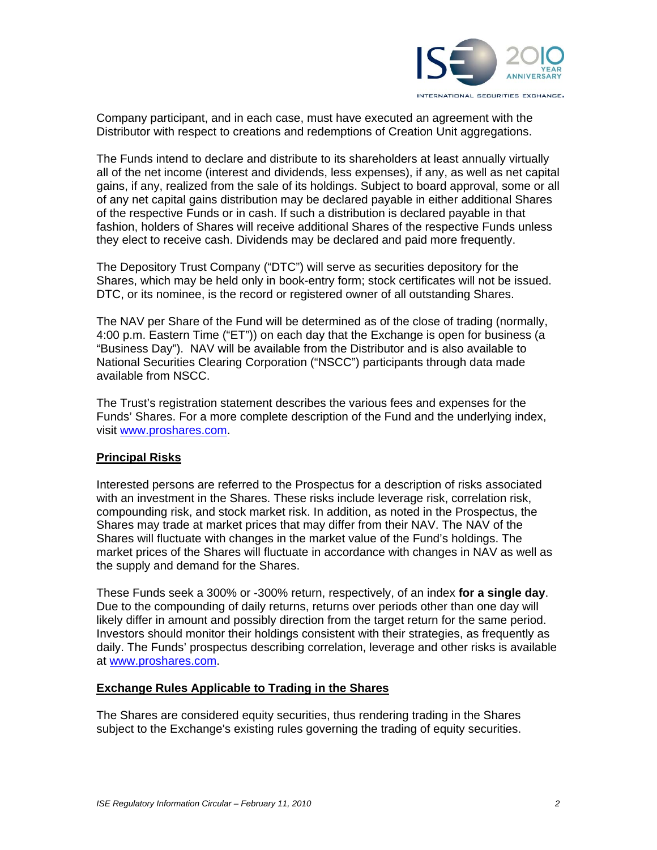

Company participant, and in each case, must have executed an agreement with the Distributor with respect to creations and redemptions of Creation Unit aggregations.

The Funds intend to declare and distribute to its shareholders at least annually virtually all of the net income (interest and dividends, less expenses), if any, as well as net capital gains, if any, realized from the sale of its holdings. Subject to board approval, some or all of any net capital gains distribution may be declared payable in either additional Shares of the respective Funds or in cash. If such a distribution is declared payable in that fashion, holders of Shares will receive additional Shares of the respective Funds unless they elect to receive cash. Dividends may be declared and paid more frequently.

The Depository Trust Company ("DTC") will serve as securities depository for the Shares, which may be held only in book-entry form; stock certificates will not be issued. DTC, or its nominee, is the record or registered owner of all outstanding Shares.

The NAV per Share of the Fund will be determined as of the close of trading (normally, 4:00 p.m. Eastern Time ("ET")) on each day that the Exchange is open for business (a "Business Day"). NAV will be available from the Distributor and is also available to National Securities Clearing Corporation ("NSCC") participants through data made available from NSCC.

The Trust's registration statement describes the various fees and expenses for the Funds' Shares. For a more complete description of the Fund and the underlying index, visit www.proshares.com.

#### **Principal Risks**

Interested persons are referred to the Prospectus for a description of risks associated with an investment in the Shares. These risks include leverage risk, correlation risk, compounding risk, and stock market risk. In addition, as noted in the Prospectus, the Shares may trade at market prices that may differ from their NAV. The NAV of the Shares will fluctuate with changes in the market value of the Fund's holdings. The market prices of the Shares will fluctuate in accordance with changes in NAV as well as the supply and demand for the Shares.

These Funds seek a 300% or -300% return, respectively, of an index **for a single day**. Due to the compounding of daily returns, returns over periods other than one day will likely differ in amount and possibly direction from the target return for the same period. Investors should monitor their holdings consistent with their strategies, as frequently as daily. The Funds' prospectus describing correlation, leverage and other risks is available at www.proshares.com.

#### **Exchange Rules Applicable to Trading in the Shares**

The Shares are considered equity securities, thus rendering trading in the Shares subject to the Exchange's existing rules governing the trading of equity securities.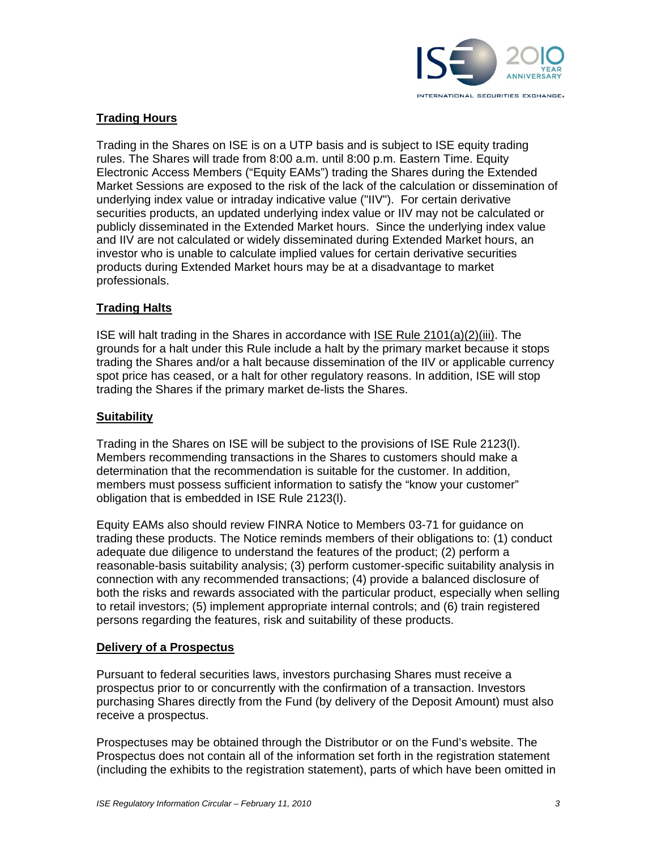

# **Trading Hours**

Trading in the Shares on ISE is on a UTP basis and is subject to ISE equity trading rules. The Shares will trade from 8:00 a.m. until 8:00 p.m. Eastern Time. Equity Electronic Access Members ("Equity EAMs") trading the Shares during the Extended Market Sessions are exposed to the risk of the lack of the calculation or dissemination of underlying index value or intraday indicative value ("IIV"). For certain derivative securities products, an updated underlying index value or IIV may not be calculated or publicly disseminated in the Extended Market hours. Since the underlying index value and IIV are not calculated or widely disseminated during Extended Market hours, an investor who is unable to calculate implied values for certain derivative securities products during Extended Market hours may be at a disadvantage to market professionals.

#### **Trading Halts**

ISE will halt trading in the Shares in accordance with ISE Rule 2101(a)(2)(iii). The grounds for a halt under this Rule include a halt by the primary market because it stops trading the Shares and/or a halt because dissemination of the IIV or applicable currency spot price has ceased, or a halt for other regulatory reasons. In addition, ISE will stop trading the Shares if the primary market de-lists the Shares.

#### **Suitability**

Trading in the Shares on ISE will be subject to the provisions of ISE Rule 2123(l). Members recommending transactions in the Shares to customers should make a determination that the recommendation is suitable for the customer. In addition, members must possess sufficient information to satisfy the "know your customer" obligation that is embedded in ISE Rule 2123(l).

Equity EAMs also should review FINRA Notice to Members 03-71 for guidance on trading these products. The Notice reminds members of their obligations to: (1) conduct adequate due diligence to understand the features of the product; (2) perform a reasonable-basis suitability analysis; (3) perform customer-specific suitability analysis in connection with any recommended transactions; (4) provide a balanced disclosure of both the risks and rewards associated with the particular product, especially when selling to retail investors; (5) implement appropriate internal controls; and (6) train registered persons regarding the features, risk and suitability of these products.

#### **Delivery of a Prospectus**

Pursuant to federal securities laws, investors purchasing Shares must receive a prospectus prior to or concurrently with the confirmation of a transaction. Investors purchasing Shares directly from the Fund (by delivery of the Deposit Amount) must also receive a prospectus.

Prospectuses may be obtained through the Distributor or on the Fund's website. The Prospectus does not contain all of the information set forth in the registration statement (including the exhibits to the registration statement), parts of which have been omitted in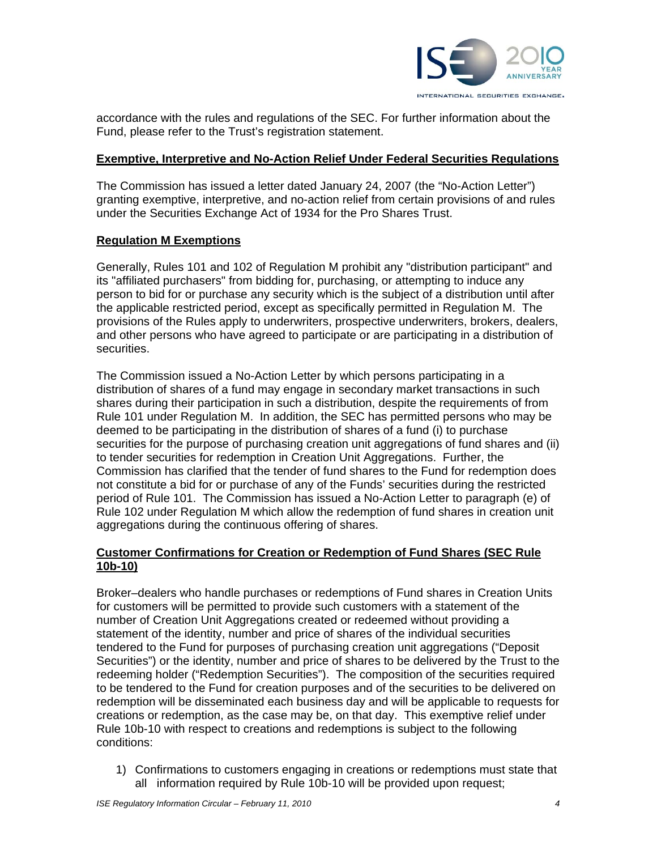

accordance with the rules and regulations of the SEC. For further information about the Fund, please refer to the Trust's registration statement.

#### **Exemptive, Interpretive and No-Action Relief Under Federal Securities Regulations**

The Commission has issued a letter dated January 24, 2007 (the "No-Action Letter") granting exemptive, interpretive, and no-action relief from certain provisions of and rules under the Securities Exchange Act of 1934 for the Pro Shares Trust.

## **Regulation M Exemptions**

Generally, Rules 101 and 102 of Regulation M prohibit any "distribution participant" and its "affiliated purchasers" from bidding for, purchasing, or attempting to induce any person to bid for or purchase any security which is the subject of a distribution until after the applicable restricted period, except as specifically permitted in Regulation M. The provisions of the Rules apply to underwriters, prospective underwriters, brokers, dealers, and other persons who have agreed to participate or are participating in a distribution of securities.

The Commission issued a No-Action Letter by which persons participating in a distribution of shares of a fund may engage in secondary market transactions in such shares during their participation in such a distribution, despite the requirements of from Rule 101 under Regulation M. In addition, the SEC has permitted persons who may be deemed to be participating in the distribution of shares of a fund (i) to purchase securities for the purpose of purchasing creation unit aggregations of fund shares and (ii) to tender securities for redemption in Creation Unit Aggregations. Further, the Commission has clarified that the tender of fund shares to the Fund for redemption does not constitute a bid for or purchase of any of the Funds' securities during the restricted period of Rule 101. The Commission has issued a No-Action Letter to paragraph (e) of Rule 102 under Regulation M which allow the redemption of fund shares in creation unit aggregations during the continuous offering of shares.

# **Customer Confirmations for Creation or Redemption of Fund Shares (SEC Rule 10b-10)**

Broker–dealers who handle purchases or redemptions of Fund shares in Creation Units for customers will be permitted to provide such customers with a statement of the number of Creation Unit Aggregations created or redeemed without providing a statement of the identity, number and price of shares of the individual securities tendered to the Fund for purposes of purchasing creation unit aggregations ("Deposit Securities") or the identity, number and price of shares to be delivered by the Trust to the redeeming holder ("Redemption Securities"). The composition of the securities required to be tendered to the Fund for creation purposes and of the securities to be delivered on redemption will be disseminated each business day and will be applicable to requests for creations or redemption, as the case may be, on that day. This exemptive relief under Rule 10b-10 with respect to creations and redemptions is subject to the following conditions:

1) Confirmations to customers engaging in creations or redemptions must state that all information required by Rule 10b-10 will be provided upon request;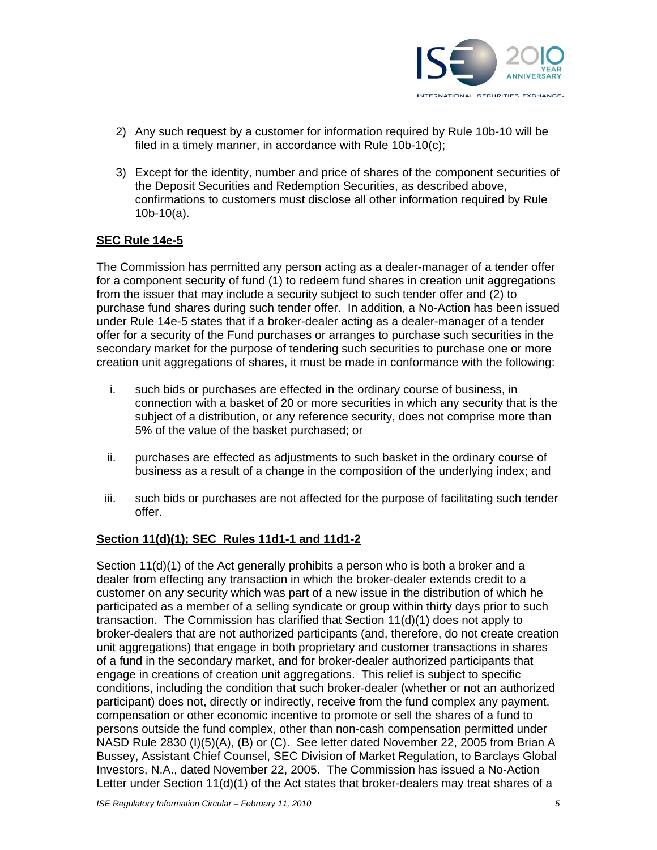

- 2) Any such request by a customer for information required by Rule 10b-10 will be filed in a timely manner, in accordance with Rule 10b-10(c);
- 3) Except for the identity, number and price of shares of the component securities of the Deposit Securities and Redemption Securities, as described above, confirmations to customers must disclose all other information required by Rule 10b-10(a).

## **SEC Rule 14e-5**

The Commission has permitted any person acting as a dealer-manager of a tender offer for a component security of fund (1) to redeem fund shares in creation unit aggregations from the issuer that may include a security subject to such tender offer and (2) to purchase fund shares during such tender offer. In addition, a No-Action has been issued under Rule 14e-5 states that if a broker-dealer acting as a dealer-manager of a tender offer for a security of the Fund purchases or arranges to purchase such securities in the secondary market for the purpose of tendering such securities to purchase one or more creation unit aggregations of shares, it must be made in conformance with the following:

- i. such bids or purchases are effected in the ordinary course of business, in connection with a basket of 20 or more securities in which any security that is the subject of a distribution, or any reference security, does not comprise more than 5% of the value of the basket purchased; or
- ii. purchases are effected as adjustments to such basket in the ordinary course of business as a result of a change in the composition of the underlying index; and
- iii. such bids or purchases are not affected for the purpose of facilitating such tender offer.

#### **Section 11(d)(1); SEC Rules 11d1-1 and 11d1-2**

Section 11(d)(1) of the Act generally prohibits a person who is both a broker and a dealer from effecting any transaction in which the broker-dealer extends credit to a customer on any security which was part of a new issue in the distribution of which he participated as a member of a selling syndicate or group within thirty days prior to such transaction. The Commission has clarified that Section 11(d)(1) does not apply to broker-dealers that are not authorized participants (and, therefore, do not create creation unit aggregations) that engage in both proprietary and customer transactions in shares of a fund in the secondary market, and for broker-dealer authorized participants that engage in creations of creation unit aggregations. This relief is subject to specific conditions, including the condition that such broker-dealer (whether or not an authorized participant) does not, directly or indirectly, receive from the fund complex any payment, compensation or other economic incentive to promote or sell the shares of a fund to persons outside the fund complex, other than non-cash compensation permitted under NASD Rule 2830 (I)(5)(A), (B) or (C). See letter dated November 22, 2005 from Brian A Bussey, Assistant Chief Counsel, SEC Division of Market Regulation, to Barclays Global Investors, N.A., dated November 22, 2005. The Commission has issued a No-Action Letter under Section 11(d)(1) of the Act states that broker-dealers may treat shares of a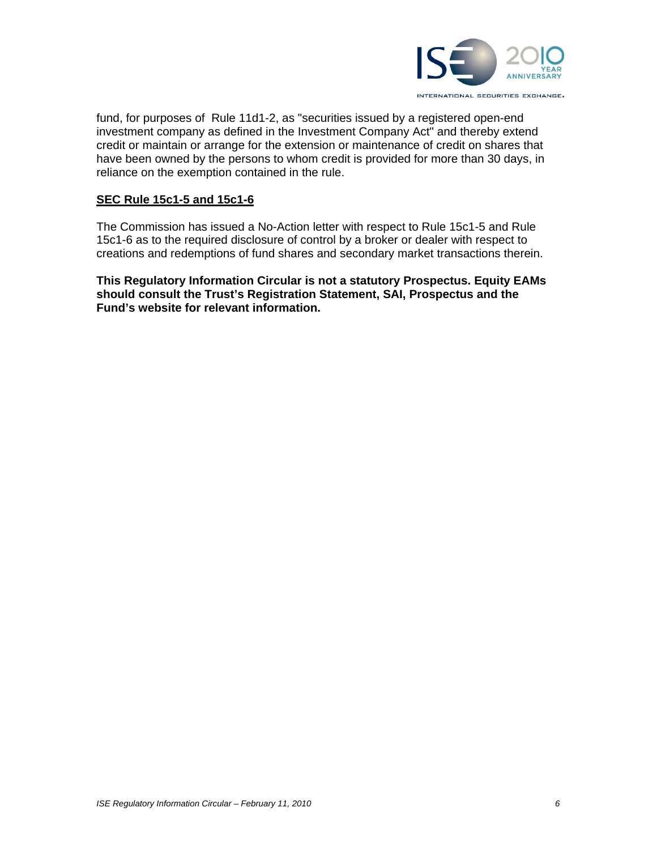

fund, for purposes of Rule 11d1-2, as "securities issued by a registered open-end investment company as defined in the Investment Company Act" and thereby extend credit or maintain or arrange for the extension or maintenance of credit on shares that have been owned by the persons to whom credit is provided for more than 30 days, in reliance on the exemption contained in the rule.

#### **SEC Rule 15c1-5 and 15c1-6**

The Commission has issued a No-Action letter with respect to Rule 15c1-5 and Rule 15c1-6 as to the required disclosure of control by a broker or dealer with respect to creations and redemptions of fund shares and secondary market transactions therein.

**This Regulatory Information Circular is not a statutory Prospectus. Equity EAMs should consult the Trust's Registration Statement, SAI, Prospectus and the Fund's website for relevant information.**